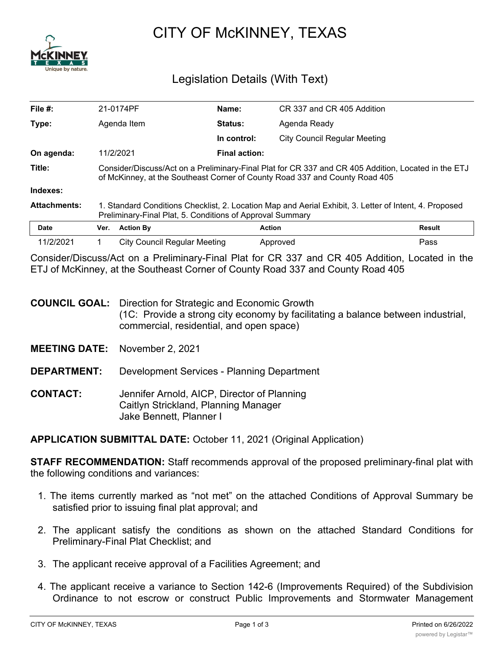

## CITY OF McKINNEY, TEXAS

## Legislation Details (With Text)

| File #:             | 21-0174PF                                                                                                                                                                          | Name:                        |                                     | CR 337 and CR 405 Addition |  |
|---------------------|------------------------------------------------------------------------------------------------------------------------------------------------------------------------------------|------------------------------|-------------------------------------|----------------------------|--|
| Type:               | <b>Status:</b><br>Agenda Item                                                                                                                                                      |                              | Agenda Ready                        |                            |  |
|                     |                                                                                                                                                                                    | In control:                  | <b>City Council Regular Meeting</b> |                            |  |
| On agenda:          | 11/2/2021                                                                                                                                                                          |                              | <b>Final action:</b>                |                            |  |
| Title:              | Consider/Discuss/Act on a Preliminary-Final Plat for CR 337 and CR 405 Addition, Located in the ETJ<br>of McKinney, at the Southeast Corner of County Road 337 and County Road 405 |                              |                                     |                            |  |
| Indexes:            |                                                                                                                                                                                    |                              |                                     |                            |  |
| <b>Attachments:</b> | 1. Standard Conditions Checklist, 2. Location Map and Aerial Exhibit, 3. Letter of Intent, 4. Proposed<br>Preliminary-Final Plat, 5. Conditions of Approval Summary                |                              |                                     |                            |  |
| <b>Date</b>         | <b>Action By</b><br>Ver.                                                                                                                                                           |                              | <b>Action</b>                       | Result                     |  |
| 11/2/2021           |                                                                                                                                                                                    | City Council Regular Meeting | Approved                            | Pass                       |  |

Consider/Discuss/Act on a Preliminary-Final Plat for CR 337 and CR 405 Addition, Located in the ETJ of McKinney, at the Southeast Corner of County Road 337 and County Road 405

- **COUNCIL GOAL:** Direction for Strategic and Economic Growth (1C: Provide a strong city economy by facilitating a balance between industrial, commercial, residential, and open space)
- **MEETING DATE:** November 2, 2021
- **DEPARTMENT:** Development Services Planning Department
- **CONTACT:** Jennifer Arnold, AICP, Director of Planning Caitlyn Strickland, Planning Manager Jake Bennett, Planner I

**APPLICATION SUBMITTAL DATE:** October 11, 2021 (Original Application)

**STAFF RECOMMENDATION:** Staff recommends approval of the proposed preliminary-final plat with the following conditions and variances:

- 1. The items currently marked as "not met" on the attached Conditions of Approval Summary be satisfied prior to issuing final plat approval; and
- 2. The applicant satisfy the conditions as shown on the attached Standard Conditions for Preliminary-Final Plat Checklist; and
- 3. The applicant receive approval of a Facilities Agreement; and
- 4. The applicant receive a variance to Section 142-6 (Improvements Required) of the Subdivision Ordinance to not escrow or construct Public Improvements and Stormwater Management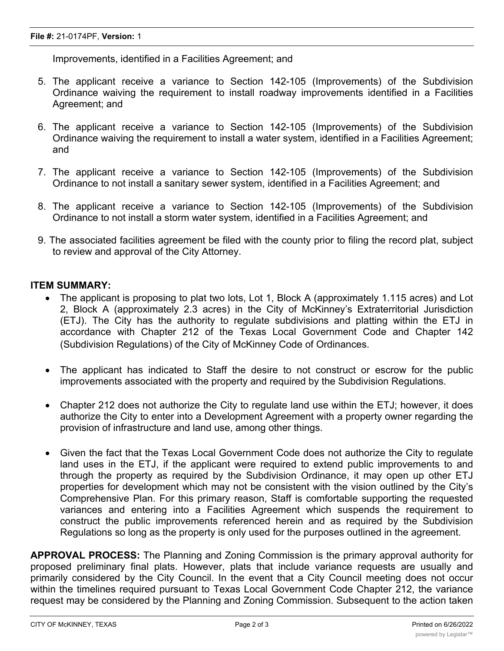Improvements, identified in a Facilities Agreement; and

- 5. The applicant receive a variance to Section 142-105 (Improvements) of the Subdivision Ordinance waiving the requirement to install roadway improvements identified in a Facilities Agreement; and
- 6. The applicant receive a variance to Section 142-105 (Improvements) of the Subdivision Ordinance waiving the requirement to install a water system, identified in a Facilities Agreement; and
- 7. The applicant receive a variance to Section 142-105 (Improvements) of the Subdivision Ordinance to not install a sanitary sewer system, identified in a Facilities Agreement; and
- 8. The applicant receive a variance to Section 142-105 (Improvements) of the Subdivision Ordinance to not install a storm water system, identified in a Facilities Agreement; and
- 9. The associated facilities agreement be filed with the county prior to filing the record plat, subject to review and approval of the City Attorney.

## **ITEM SUMMARY:**

- The applicant is proposing to plat two lots, Lot 1, Block A (approximately 1.115 acres) and Lot 2, Block A (approximately 2.3 acres) in the City of McKinney's Extraterritorial Jurisdiction (ETJ). The City has the authority to regulate subdivisions and platting within the ETJ in accordance with Chapter 212 of the Texas Local Government Code and Chapter 142 (Subdivision Regulations) of the City of McKinney Code of Ordinances.
- · The applicant has indicated to Staff the desire to not construct or escrow for the public improvements associated with the property and required by the Subdivision Regulations.
- Chapter 212 does not authorize the City to regulate land use within the ETJ; however, it does authorize the City to enter into a Development Agreement with a property owner regarding the provision of infrastructure and land use, among other things.
- · Given the fact that the Texas Local Government Code does not authorize the City to regulate land uses in the ETJ, if the applicant were required to extend public improvements to and through the property as required by the Subdivision Ordinance, it may open up other ETJ properties for development which may not be consistent with the vision outlined by the City's Comprehensive Plan. For this primary reason, Staff is comfortable supporting the requested variances and entering into a Facilities Agreement which suspends the requirement to construct the public improvements referenced herein and as required by the Subdivision Regulations so long as the property is only used for the purposes outlined in the agreement.

**APPROVAL PROCESS:** The Planning and Zoning Commission is the primary approval authority for proposed preliminary final plats. However, plats that include variance requests are usually and primarily considered by the City Council. In the event that a City Council meeting does not occur within the timelines required pursuant to Texas Local Government Code Chapter 212, the variance request may be considered by the Planning and Zoning Commission. Subsequent to the action taken